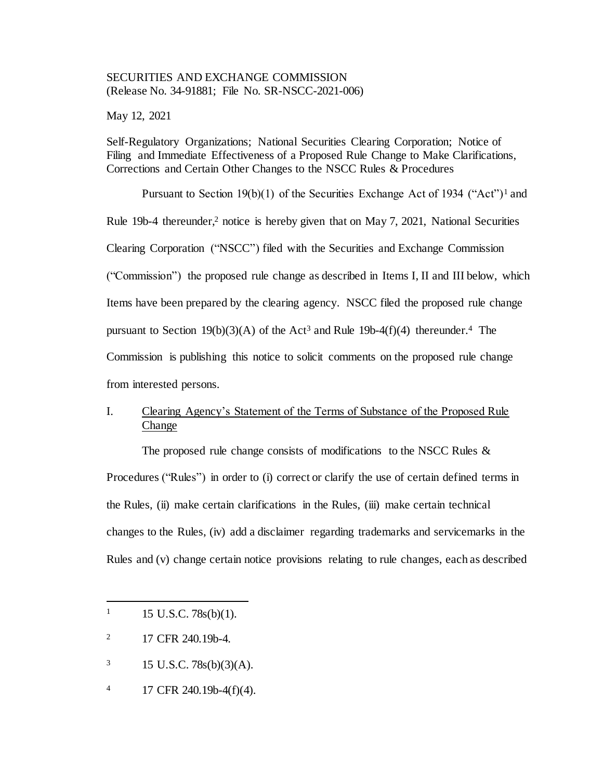#### SECURITIES AND EXCHANGE COMMISSION (Release No. 34-91881; File No. SR-NSCC-2021-006)

May 12, 2021

Self-Regulatory Organizations; National Securities Clearing Corporation; Notice of Filing and Immediate Effectiveness of a Proposed Rule Change to Make Clarifications, Corrections and Certain Other Changes to the NSCC Rules & Procedures

Pursuant to Section 19(b)(1) of the Securities Exchange Act of 1934 ("Act")<sup>1</sup> and Rule 19b-4 thereunder, <sup>2</sup> notice is hereby given that on May 7, 2021, National Securities Clearing Corporation ("NSCC") filed with the Securities and Exchange Commission ("Commission") the proposed rule change as described in Items I, II and III below, which Items have been prepared by the clearing agency. NSCC filed the proposed rule change pursuant to Section  $19(b)(3)(A)$  of the Act<sup>3</sup> and Rule 19b-4(f)(4) thereunder.<sup>4</sup> The Commission is publishing this notice to solicit comments on the proposed rule change from interested persons.

# I. Clearing Agency's Statement of the Terms of Substance of the Proposed Rule Change

The proposed rule change consists of modifications to the NSCC Rules & Procedures ("Rules") in order to (i) correct or clarify the use of certain defined terms in the Rules. (ii) make certain clarifications in the Rules, (iii) make certain technical changes to the Rules, (iv) add a disclaimer regarding trademarks and servicemarks in the Rules and (v) change certain notice provisions relating to rule changes, each as described

- $3 \qquad 15 \text{ U.S.C. } 78\text{s(b)}(3)(\text{A}).$
- 4 17 CFR 240.19b-4(f)(4).

 $1 \quad 15 \text{ U.S.C. } 78 \text{s(b)}(1).$ 

<sup>&</sup>lt;sup>2</sup> 17 CFR 240.19b-4.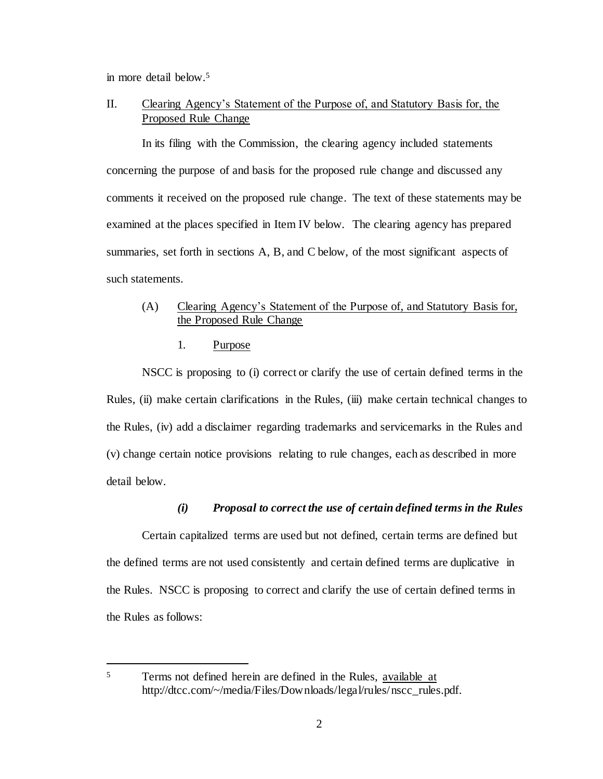in more detail below. 5

j

# II. Clearing Agency's Statement of the Purpose of, and Statutory Basis for, the Proposed Rule Change

In its filing with the Commission, the clearing agency included statements concerning the purpose of and basis for the proposed rule change and discussed any comments it received on the proposed rule change. The text of these statements may be examined at the places specified in Item IV below. The clearing agency has prepared summaries, set forth in sections A, B, and C below, of the most significant aspects of such statements.

## (A) Clearing Agency's Statement of the Purpose of, and Statutory Basis for, the Proposed Rule Change

#### 1. Purpose

NSCC is proposing to (i) correct or clarify the use of certain defined terms in the Rules, (ii) make certain clarifications in the Rules, (iii) make certain technical changes to the Rules, (iv) add a disclaimer regarding trademarks and servicemarks in the Rules and (v) change certain notice provisions relating to rule changes, each as described in more detail below.

## *(i) Proposal to correct the use of certain defined terms in the Rules*

Certain capitalized terms are used but not defined, certain terms are defined but the defined terms are not used consistently and certain defined terms are duplicative in the Rules. NSCC is proposing to correct and clarify the use of certain defined terms in the Rules as follows:

<sup>5</sup> Terms not defined herein are defined in the Rules, available at http://dtcc.com/~/media/Files/Downloads/legal/rules/nscc\_rules.pdf.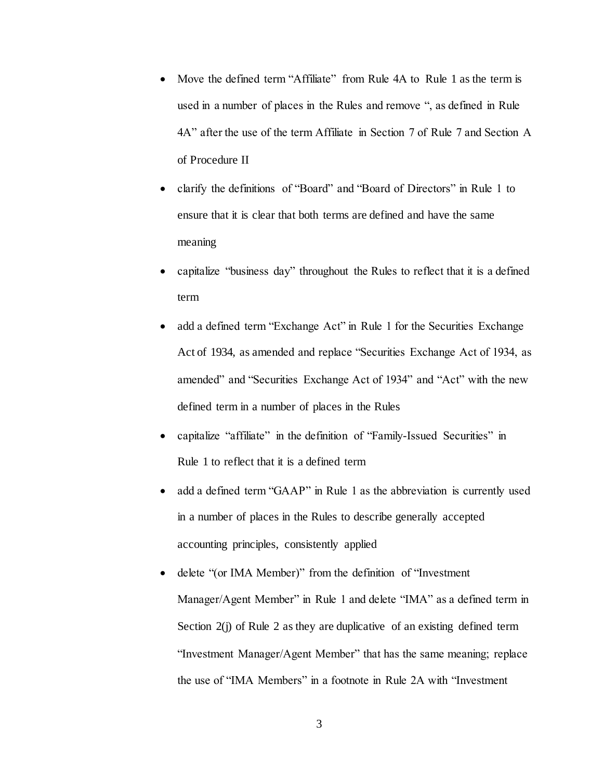- Move the defined term "Affiliate" from Rule 4A to Rule 1 as the term is used in a number of places in the Rules and remove ", as defined in Rule 4A" after the use of the term Affiliate in Section 7 of Rule 7 and Section A of Procedure II
- clarify the definitions of "Board" and "Board of Directors" in Rule 1 to ensure that it is clear that both terms are defined and have the same meaning
- capitalize "business day" throughout the Rules to reflect that it is a defined term
- add a defined term "Exchange Act" in Rule 1 for the Securities Exchange Act of 1934, as amended and replace "Securities Exchange Act of 1934, as amended" and "Securities Exchange Act of 1934" and "Act" with the new defined term in a number of places in the Rules
- capitalize "affiliate" in the definition of "Family-Issued Securities" in Rule 1 to reflect that it is a defined term
- add a defined term "GAAP" in Rule 1 as the abbreviation is currently used in a number of places in the Rules to describe generally accepted accounting principles, consistently applied
- delete "(or IMA Member)" from the definition of "Investment" Manager/Agent Member" in Rule 1 and delete "IMA" as a defined term in Section 2(j) of Rule 2 as they are duplicative of an existing defined term "Investment Manager/Agent Member" that has the same meaning; replace the use of "IMA Members" in a footnote in Rule 2A with "Investment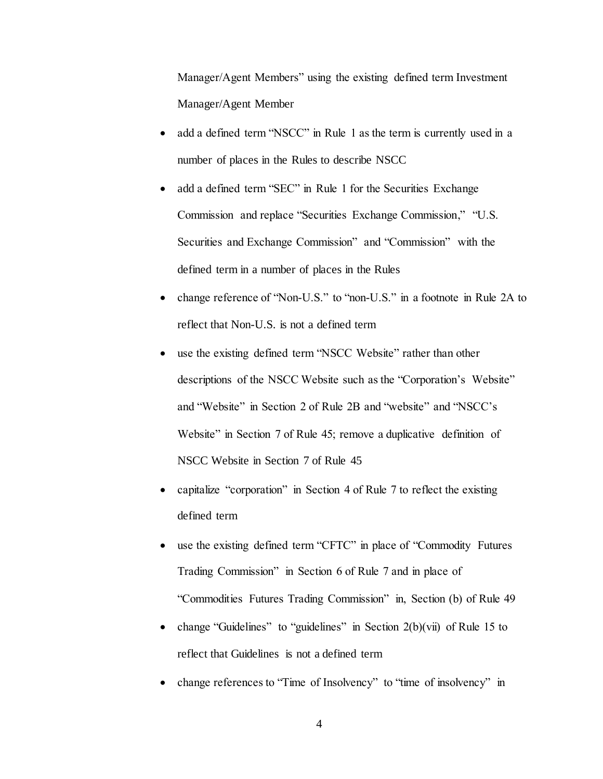Manager/Agent Members" using the existing defined term Investment Manager/Agent Member

- add a defined term "NSCC" in Rule 1 as the term is currently used in a number of places in the Rules to describe NSCC
- add a defined term "SEC" in Rule 1 for the Securities Exchange Commission and replace "Securities Exchange Commission," "U.S. Securities and Exchange Commission" and "Commission" with the defined term in a number of places in the Rules
- change reference of "Non-U.S." to "non-U.S." in a footnote in Rule 2A to reflect that Non-U.S. is not a defined term
- use the existing defined term "NSCC Website" rather than other descriptions of the NSCC Website such as the "Corporation's Website" and "Website" in Section 2 of Rule 2B and "website" and "NSCC's Website" in Section 7 of Rule 45; remove a duplicative definition of NSCC Website in Section 7 of Rule 45
- capitalize "corporation" in Section 4 of Rule 7 to reflect the existing defined term
- use the existing defined term "CFTC" in place of "Commodity Futures Trading Commission" in Section 6 of Rule 7 and in place of "Commodities Futures Trading Commission" in, Section (b) of Rule 49
- change "Guidelines" to "guidelines" in Section  $2(b)(\vec{v})$  of Rule 15 to reflect that Guidelines is not a defined term
- change references to "Time of Insolvency" to "time of insolvency" in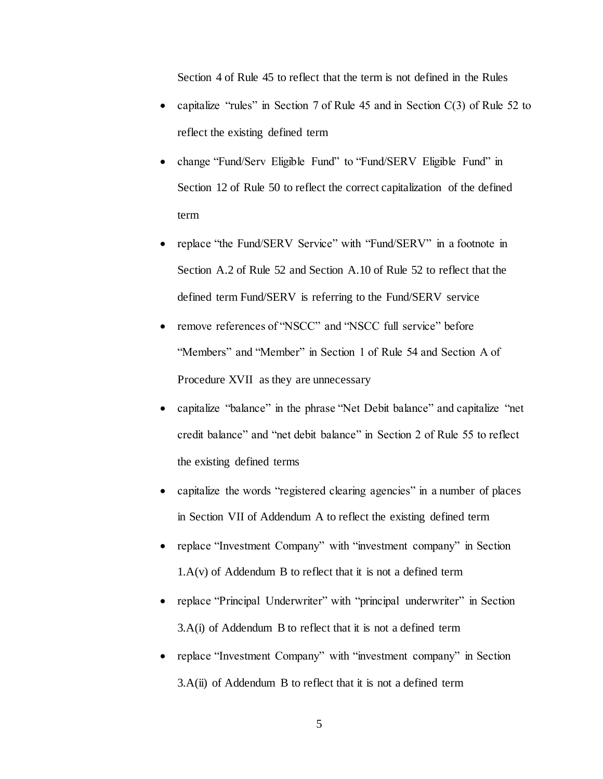Section 4 of Rule 45 to reflect that the term is not defined in the Rules

- capitalize "rules" in Section 7 of Rule 45 and in Section C(3) of Rule 52 to reflect the existing defined term
- change "Fund/Serv Eligible Fund" to "Fund/SERV Eligible Fund" in Section 12 of Rule 50 to reflect the correct capitalization of the defined term
- replace "the Fund/SERV Service" with "Fund/SERV" in a footnote in Section A.2 of Rule 52 and Section A.10 of Rule 52 to reflect that the defined term Fund/SERV is referring to the Fund/SERV service
- remove references of "NSCC" and "NSCC full service" before "Members" and "Member" in Section 1 of Rule 54 and Section A of Procedure XVII as they are unnecessary
- capitalize "balance" in the phrase "Net Debit balance" and capitalize "net credit balance" and "net debit balance" in Section 2 of Rule 55 to reflect the existing defined terms
- capitalize the words "registered clearing agencies" in a number of places in Section VII of Addendum A to reflect the existing defined term
- replace "Investment Company" with "investment company" in Section 1.A(v) of Addendum B to reflect that it is not a defined term
- replace "Principal Underwriter" with "principal underwriter" in Section 3.A(i) of Addendum B to reflect that it is not a defined term
- replace "Investment Company" with "investment company" in Section 3.A(ii) of Addendum B to reflect that it is not a defined term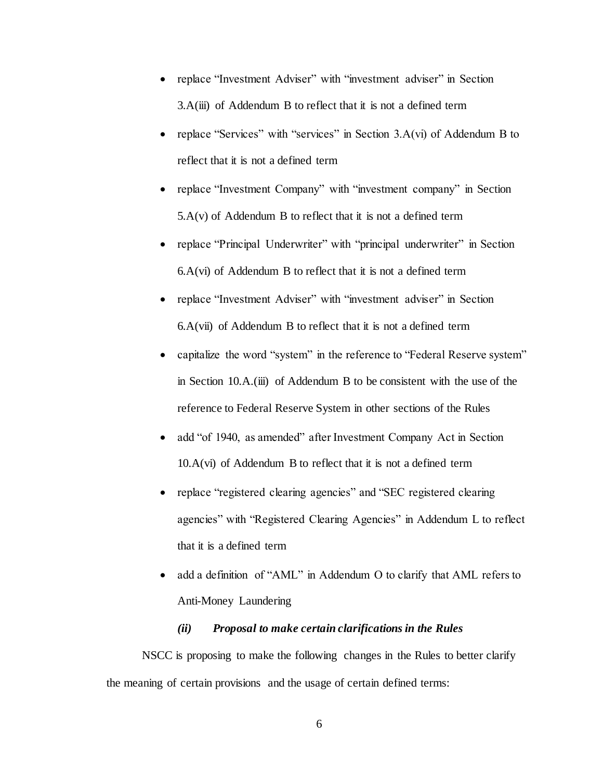- replace "Investment Adviser" with "investment adviser" in Section 3.A(iii) of Addendum B to reflect that it is not a defined term
- replace "Services" with "services" in Section 3.A(vi) of Addendum B to reflect that it is not a defined term
- replace "Investment Company" with "investment company" in Section 5.A(v) of Addendum B to reflect that it is not a defined term
- replace "Principal Underwriter" with "principal underwriter" in Section 6.A(vi) of Addendum B to reflect that it is not a defined term
- replace "Investment Adviser" with "investment adviser" in Section 6.A(vii) of Addendum B to reflect that it is not a defined term
- capitalize the word "system" in the reference to "Federal Reserve system" in Section 10.A.(iii) of Addendum B to be consistent with the use of the reference to Federal Reserve System in other sections of the Rules
- add "of 1940, as amended" after Investment Company Act in Section  $10.A(vi)$  of Addendum B to reflect that it is not a defined term
- replace "registered clearing agencies" and "SEC registered clearing agencies" with "Registered Clearing Agencies" in Addendum L to reflect that it is a defined term
- add a definition of "AML" in Addendum O to clarify that AML refers to Anti-Money Laundering

### *(ii) Proposal to make certain clarifications in the Rules*

NSCC is proposing to make the following changes in the Rules to better clarify the meaning of certain provisions and the usage of certain defined terms: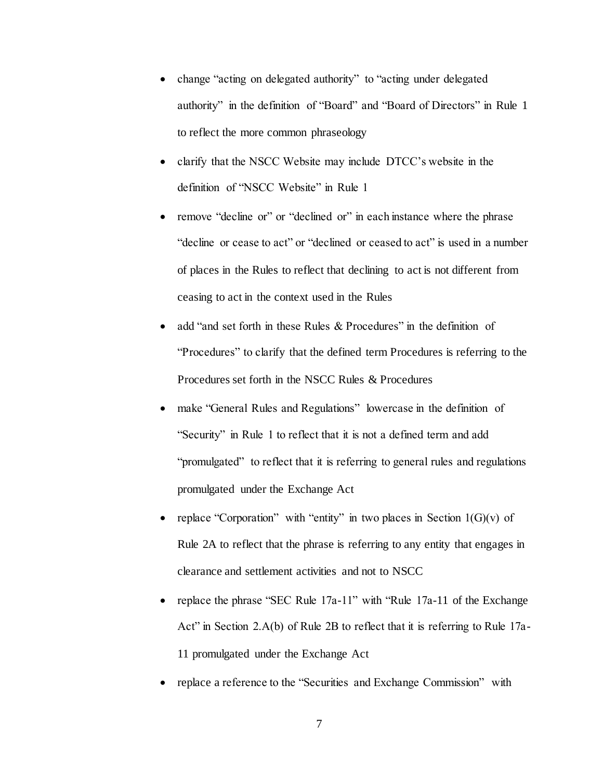- change "acting on delegated authority" to "acting under delegated authority" in the definition of "Board" and "Board of Directors" in Rule 1 to reflect the more common phraseology
- clarify that the NSCC Website may include DTCC's website in the definition of "NSCC Website" in Rule 1
- remove "decline or" or "declined or" in each instance where the phrase "decline or cease to act" or "declined or ceased to act" is used in a number of places in the Rules to reflect that declining to act is not different from ceasing to act in the context used in the Rules
- add "and set forth in these Rules & Procedures" in the definition of "Procedures" to clarify that the defined term Procedures is referring to the Procedures set forth in the NSCC Rules & Procedures
- make "General Rules and Regulations" lowercase in the definition of "Security" in Rule 1 to reflect that it is not a defined term and add "promulgated" to reflect that it is referring to general rules and regulations promulgated under the Exchange Act
- replace "Corporation" with "entity" in two places in Section  $1(G)(v)$  of Rule 2A to reflect that the phrase is referring to any entity that engages in clearance and settlement activities and not to NSCC
- replace the phrase "SEC Rule 17a-11" with "Rule 17a-11 of the Exchange Act" in Section 2.A(b) of Rule 2B to reflect that it is referring to Rule 17a-11 promulgated under the Exchange Act
- replace a reference to the "Securities and Exchange Commission" with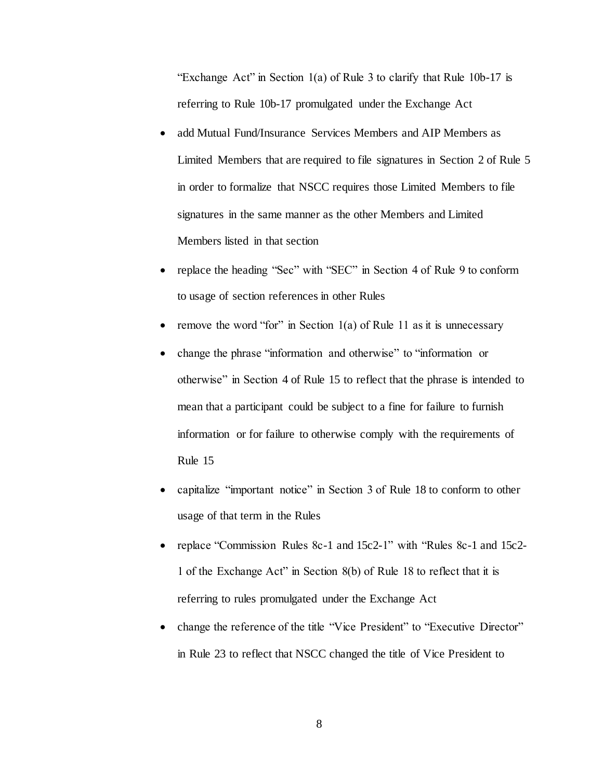"Exchange Act" in Section 1(a) of Rule 3 to clarify that Rule 10b-17 is referring to Rule 10b-17 promulgated under the Exchange Act

- add Mutual Fund/Insurance Services Members and AIP Members as Limited Members that are required to file signatures in Section 2 of Rule 5 in order to formalize that NSCC requires those Limited Members to file signatures in the same manner as the other Members and Limited Members listed in that section
- replace the heading "Sec" with "SEC" in Section 4 of Rule 9 to conform to usage of section references in other Rules
- remove the word "for" in Section  $1(a)$  of Rule 11 as it is unnecessary
- change the phrase "information and otherwise" to "information or otherwise" in Section 4 of Rule 15 to reflect that the phrase is intended to mean that a participant could be subject to a fine for failure to furnish information or for failure to otherwise comply with the requirements of Rule 15
- capitalize "important notice" in Section 3 of Rule 18 to conform to other usage of that term in the Rules
- replace "Commission Rules 8c-1 and 15c2-1" with "Rules 8c-1 and 15c2-1 of the Exchange Act" in Section 8(b) of Rule 18 to reflect that it is referring to rules promulgated under the Exchange Act
- change the reference of the title "Vice President" to "Executive Director" in Rule 23 to reflect that NSCC changed the title of Vice President to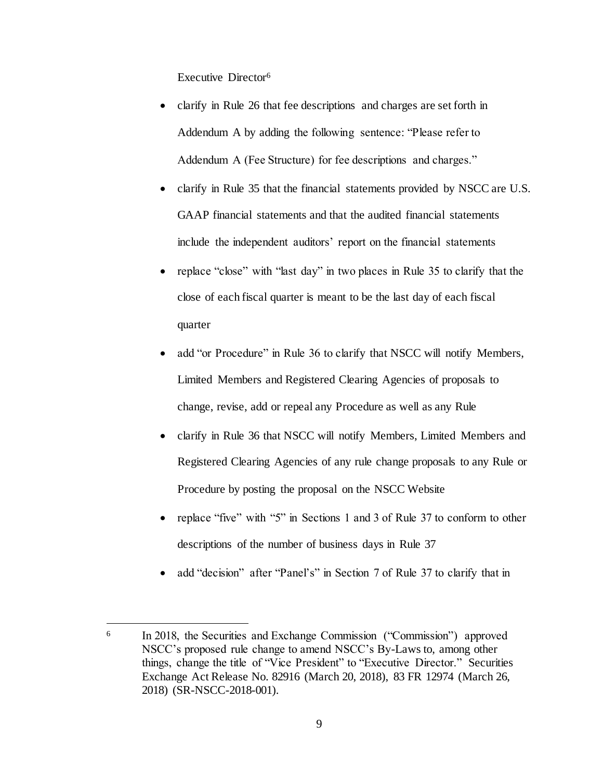Executive Director<sup>6</sup>

- clarify in Rule 26 that fee descriptions and charges are set forth in Addendum A by adding the following sentence: "Please refer to Addendum A (Fee Structure) for fee descriptions and charges."
- clarify in Rule 35 that the financial statements provided by NSCC are U.S. GAAP financial statements and that the audited financial statements include the independent auditors' report on the financial statements
- replace "close" with "last day" in two places in Rule 35 to clarify that the close of each fiscal quarter is meant to be the last day of each fiscal quarter
- add "or Procedure" in Rule 36 to clarify that NSCC will notify Members, Limited Members and Registered Clearing Agencies of proposals to change, revise, add or repeal any Procedure as well as any Rule
- clarify in Rule 36 that NSCC will notify Members, Limited Members and Registered Clearing Agencies of any rule change proposals to any Rule or Procedure by posting the proposal on the NSCC Website
- replace "five" with "5" in Sections 1 and 3 of Rule 37 to conform to other descriptions of the number of business days in Rule 37
- add "decision" after "Panel's" in Section 7 of Rule 37 to clarify that in

j

<sup>6</sup> In 2018, the Securities and Exchange Commission ("Commission") approved NSCC's proposed rule change to amend NSCC's By-Laws to, among other things, change the title of "Vice President" to "Executive Director." Securities Exchange Act Release No. 82916 (March 20, 2018), 83 FR 12974 (March 26, 2018) (SR-NSCC-2018-001).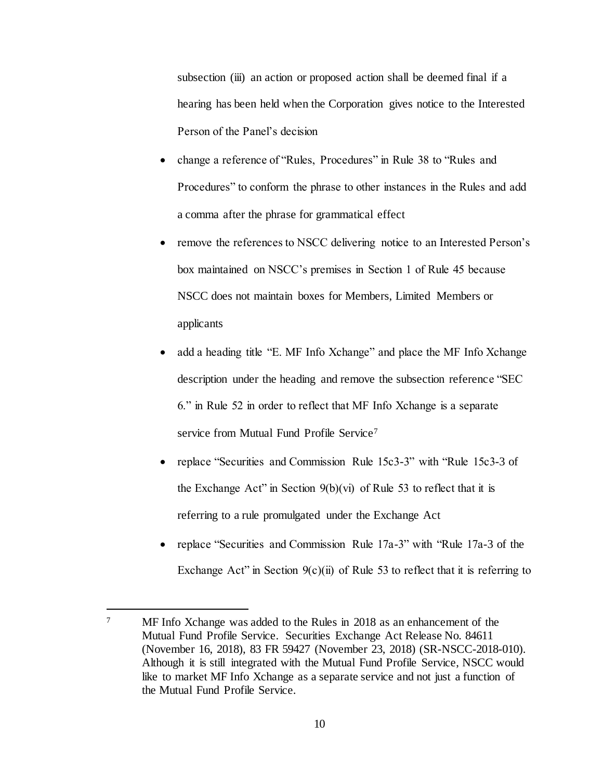subsection (iii) an action or proposed action shall be deemed final if a hearing has been held when the Corporation gives notice to the Interested Person of the Panel's decision

- change a reference of "Rules, Procedures" in Rule 38 to "Rules and Procedures" to conform the phrase to other instances in the Rules and add a comma after the phrase for grammatical effect
- remove the references to NSCC delivering notice to an Interested Person's box maintained on NSCC's premises in Section 1 of Rule 45 because NSCC does not maintain boxes for Members, Limited Members or applicants
- add a heading title "E. MF Info Xchange" and place the MF Info Xchange description under the heading and remove the subsection reference "SEC 6." in Rule 52 in order to reflect that MF Info Xchange is a separate service from Mutual Fund Profile Service<sup>7</sup>
- replace "Securities and Commission Rule 15c3-3" with "Rule 15c3-3 of the Exchange Act" in Section  $9(b)(vi)$  of Rule 53 to reflect that it is referring to a rule promulgated under the Exchange Act
- replace "Securities and Commission Rule 17a-3" with "Rule 17a-3 of the Exchange Act" in Section  $9(c)(ii)$  of Rule 53 to reflect that it is referring to

<sup>&</sup>lt;sup>7</sup> MF Info Xchange was added to the Rules in 2018 as an enhancement of the Mutual Fund Profile Service. Securities Exchange Act Release No. 84611 (November 16, 2018), 83 FR 59427 (November 23, 2018) (SR-NSCC-2018-010). Although it is still integrated with the Mutual Fund Profile Service, NSCC would like to market MF Info Xchange as a separate service and not just a function of the Mutual Fund Profile Service.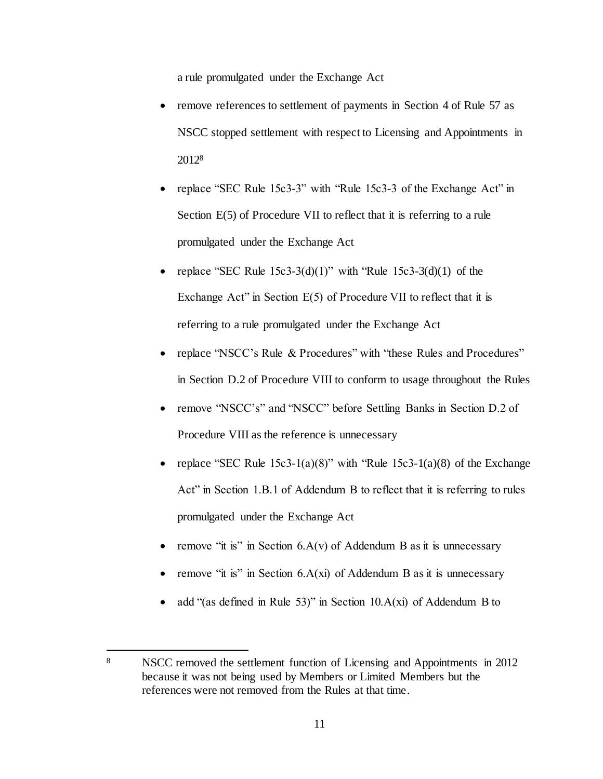a rule promulgated under the Exchange Act

- remove references to settlement of payments in Section 4 of Rule 57 as NSCC stopped settlement with respect to Licensing and Appointments in 2012<sup>8</sup>
- replace "SEC Rule 15c3-3" with "Rule 15c3-3 of the Exchange Act" in Section  $E(5)$  of Procedure VII to reflect that it is referring to a rule promulgated under the Exchange Act
- replace "SEC Rule  $15c3-3(d)(1)$ " with "Rule  $15c3-3(d)(1)$  of the Exchange Act" in Section  $E(5)$  of Procedure VII to reflect that it is referring to a rule promulgated under the Exchange Act
- replace "NSCC's Rule & Procedures" with "these Rules and Procedures" in Section D.2 of Procedure VIII to conform to usage throughout the Rules
- remove "NSCC's" and "NSCC" before Settling Banks in Section D.2 of Procedure VIII as the reference is unnecessary
- replace "SEC Rule  $15c3-1(a)(8)$ " with "Rule  $15c3-1(a)(8)$  of the Exchange Act" in Section 1.B.1 of Addendum B to reflect that it is referring to rules promulgated under the Exchange Act
- remove "it is" in Section 6.A(v) of Addendum B as it is unnecessary
- remove "it is" in Section 6.A(xi) of Addendum B as it is unnecessary
- add "(as defined in Rule 53)" in Section  $10.A(xi)$  of Addendum B to

<sup>8</sup> NSCC removed the settlement function of Licensing and Appointments in 2012 because it was not being used by Members or Limited Members but the references were not removed from the Rules at that time.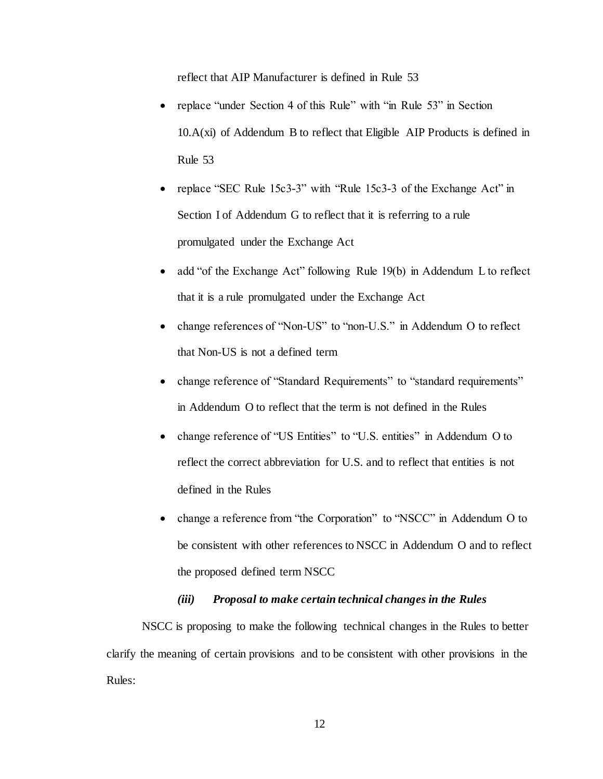reflect that AIP Manufacturer is defined in Rule 53

- replace "under Section 4 of this Rule" with "in Rule 53" in Section  $10.A(xi)$  of Addendum B to reflect that Eligible AIP Products is defined in Rule 53
- replace "SEC Rule 15c3-3" with "Rule 15c3-3 of the Exchange Act" in Section I of Addendum G to reflect that it is referring to a rule promulgated under the Exchange Act
- add "of the Exchange Act" following Rule 19(b) in Addendum L to reflect that it is a rule promulgated under the Exchange Act
- change references of "Non-US" to "non-U.S." in Addendum O to reflect that Non-US is not a defined term
- change reference of "Standard Requirements" to "standard requirements" in Addendum O to reflect that the term is not defined in the Rules
- change reference of "US Entities" to "U.S. entities" in Addendum O to reflect the correct abbreviation for U.S. and to reflect that entities is not defined in the Rules
- change a reference from "the Corporation" to "NSCC" in Addendum O to be consistent with other references to NSCC in Addendum O and to reflect the proposed defined term NSCC

#### *(iii) Proposal to make certain technical changes in the Rules*

NSCC is proposing to make the following technical changes in the Rules to better clarify the meaning of certain provisions and to be consistent with other provisions in the Rules: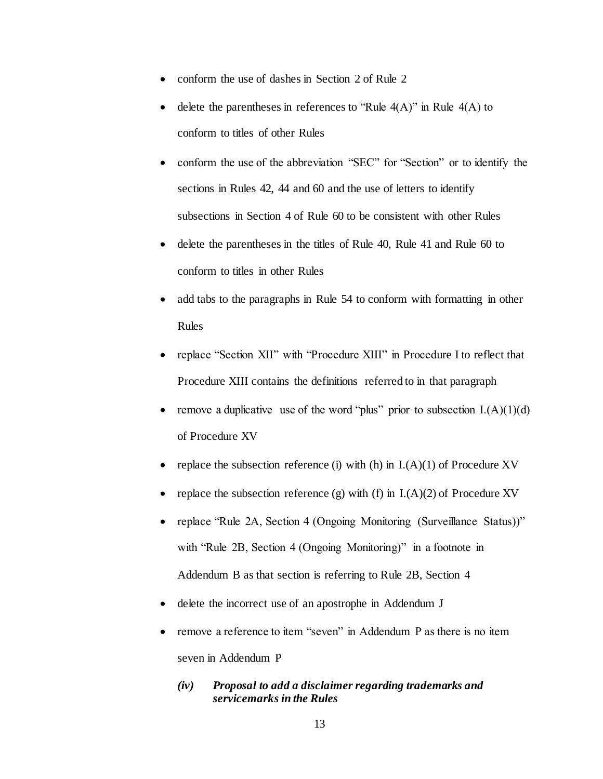- conform the use of dashes in Section 2 of Rule 2
- delete the parentheses in references to "Rule  $4(A)$ " in Rule  $4(A)$  to conform to titles of other Rules
- conform the use of the abbreviation "SEC" for "Section" or to identify the sections in Rules 42, 44 and 60 and the use of letters to identify subsections in Section 4 of Rule 60 to be consistent with other Rules
- delete the parentheses in the titles of Rule 40, Rule 41 and Rule 60 to conform to titles in other Rules
- add tabs to the paragraphs in Rule 54 to conform with formatting in other Rules
- replace "Section XII" with "Procedure XIII" in Procedure I to reflect that Procedure XIII contains the definitions referred to in that paragraph
- remove a duplicative use of the word "plus" prior to subsection  $I(A)(1)(d)$ of Procedure XV
- replace the subsection reference (i) with (h) in  $I(A)(1)$  of Procedure XV
- replace the subsection reference (g) with (f) in  $I(A)(2)$  of Procedure XV
- replace "Rule 2A, Section 4 (Ongoing Monitoring (Surveillance Status))" with "Rule 2B, Section 4 (Ongoing Monitoring)" in a footnote in Addendum B as that section is referring to Rule 2B, Section 4
- delete the incorrect use of an apostrophe in Addendum J
- remove a reference to item "seven" in Addendum P as there is no item seven in Addendum P
	- *(iv) Proposal to add a disclaimer regarding trademarks and servicemarks in the Rules*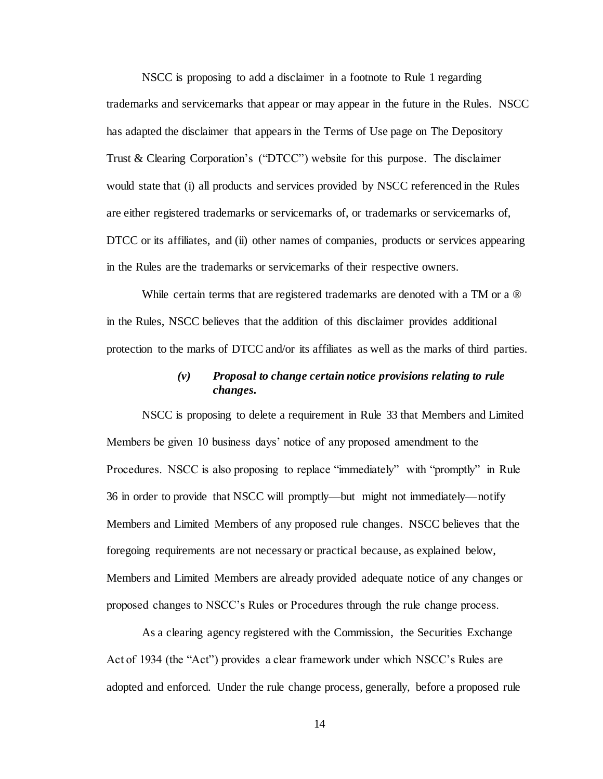NSCC is proposing to add a disclaimer in a footnote to Rule 1 regarding trademarks and servicemarks that appear or may appear in the future in the Rules. NSCC has adapted the disclaimer that appears in the Terms of Use page on The Depository Trust & Clearing Corporation's ("DTCC") website for this purpose. The disclaimer would state that (i) all products and services provided by NSCC referenced in the Rules are either registered trademarks or servicemarks of, or trademarks or servicemarks of, DTCC or its affiliates, and (ii) other names of companies, products or services appearing in the Rules are the trademarks or servicemarks of their respective owners.

While certain terms that are registered trademarks are denoted with a TM or a  $\circledR$ in the Rules, NSCC believes that the addition of this disclaimer provides additional protection to the marks of DTCC and/or its affiliates as well as the marks of third parties.

# *(v) Proposal to change certain notice provisions relating to rule changes.*

NSCC is proposing to delete a requirement in Rule 33 that Members and Limited Members be given 10 business days' notice of any proposed amendment to the Procedures. NSCC is also proposing to replace "immediately" with "promptly" in Rule 36 in order to provide that NSCC will promptly—but might not immediately—notify Members and Limited Members of any proposed rule changes. NSCC believes that the foregoing requirements are not necessary or practical because, as explained below, Members and Limited Members are already provided adequate notice of any changes or proposed changes to NSCC's Rules or Procedures through the rule change process.

As a clearing agency registered with the Commission, the Securities Exchange Act of 1934 (the "Act") provides a clear framework under which NSCC's Rules are adopted and enforced. Under the rule change process, generally, before a proposed rule

14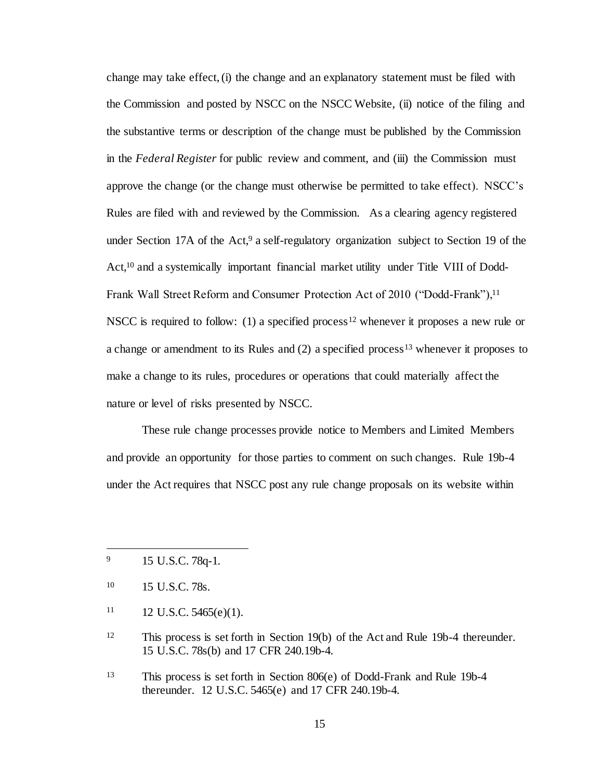change may take effect, (i) the change and an explanatory statement must be filed with the Commission and posted by NSCC on the NSCC Website, (ii) notice of the filing and the substantive terms or description of the change must be published by the Commission in the *Federal Register* for public review and comment, and (iii) the Commission must approve the change (or the change must otherwise be permitted to take effect). NSCC's Rules are filed with and reviewed by the Commission. As a clearing agency registered under Section 17A of the Act,<sup>9</sup> a self-regulatory organization subject to Section 19 of the Act,<sup>10</sup> and a systemically important financial market utility under Title VIII of Dodd-Frank Wall Street Reform and Consumer Protection Act of 2010 ("Dodd-Frank"),<sup>11</sup> NSCC is required to follow: (1) a specified process<sup>12</sup> whenever it proposes a new rule or a change or amendment to its Rules and  $(2)$  a specified process<sup>13</sup> whenever it proposes to make a change to its rules, procedures or operations that could materially affect the nature or level of risks presented by NSCC.

These rule change processes provide notice to Members and Limited Members and provide an opportunity for those parties to comment on such changes. Rule 19b-4 under the Act requires that NSCC post any rule change proposals on its website within

l

 $11 \t12 \tU.S.C. 5465(e)(1).$ 

<sup>&</sup>lt;sup>9</sup> 15 U.S.C. 78q-1.

<sup>10</sup> 15 U.S.C. 78s.

<sup>12</sup> This process is set forth in Section 19(b) of the Act and Rule 19b-4 thereunder. 15 U.S.C. 78s(b) and 17 CFR 240.19b-4.

<sup>13</sup> This process is set forth in Section 806(e) of Dodd-Frank and Rule 19b-4 thereunder. 12 U.S.C. 5465(e) and 17 CFR 240.19b-4.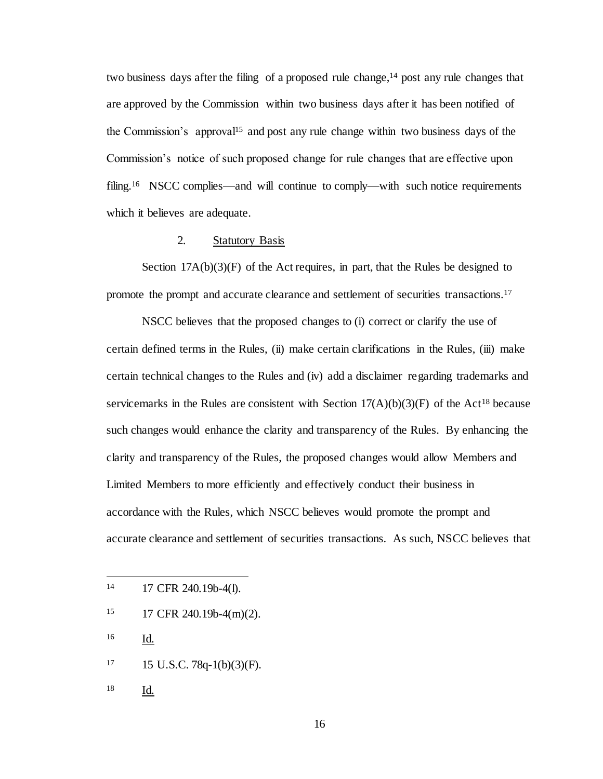two business days after the filing of a proposed rule change,  $14$  post any rule changes that are approved by the Commission within two business days after it has been notified of the Commission's approval<sup>15</sup> and post any rule change within two business days of the Commission's notice of such proposed change for rule changes that are effective upon filing.<sup>16</sup> NSCC complies—and will continue to comply—with such notice requirements which it believes are adequate.

### 2. Statutory Basis

Section  $17A(b)(3)(F)$  of the Act requires, in part, that the Rules be designed to promote the prompt and accurate clearance and settlement of securities transactions.<sup>17</sup>

NSCC believes that the proposed changes to (i) correct or clarify the use of certain defined terms in the Rules, (ii) make certain clarifications in the Rules, (iii) make certain technical changes to the Rules and (iv) add a disclaimer regarding trademarks and servicemarks in the Rules are consistent with Section  $17(A)(b)(3)(F)$  of the Act<sup>18</sup> because such changes would enhance the clarity and transparency of the Rules. By enhancing the clarity and transparency of the Rules, the proposed changes would allow Members and Limited Members to more efficiently and effectively conduct their business in accordance with the Rules, which NSCC believes would promote the prompt and accurate clearance and settlement of securities transactions. As such, NSCC believes that

- <sup>15</sup> 17 CFR 240.19b-4(m)(2).
- <sup>16</sup> Id.

j

- $17 \qquad 15 \text{ U.S.C. } 78q 1(b)(3)(F).$
- 18 <u>Id.</u>

<sup>14</sup> 17 CFR 240.19b-4(l).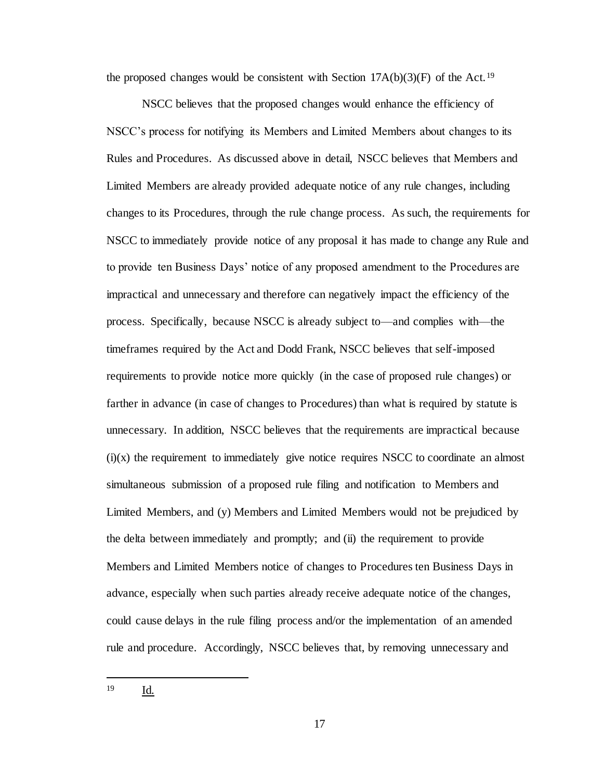the proposed changes would be consistent with Section  $17A(b)(3)(F)$  of the Act.<sup>19</sup>

NSCC believes that the proposed changes would enhance the efficiency of NSCC's process for notifying its Members and Limited Members about changes to its Rules and Procedures. As discussed above in detail, NSCC believes that Members and Limited Members are already provided adequate notice of any rule changes, including changes to its Procedures, through the rule change process. As such, the requirements for NSCC to immediately provide notice of any proposal it has made to change any Rule and to provide ten Business Days' notice of any proposed amendment to the Procedures are impractical and unnecessary and therefore can negatively impact the efficiency of the process. Specifically, because NSCC is already subject to—and complies with—the timeframes required by the Act and Dodd Frank, NSCC believes that self-imposed requirements to provide notice more quickly (in the case of proposed rule changes) or farther in advance (in case of changes to Procedures) than what is required by statute is unnecessary. In addition, NSCC believes that the requirements are impractical because  $(i)(x)$  the requirement to immediately give notice requires NSCC to coordinate an almost simultaneous submission of a proposed rule filing and notification to Members and Limited Members, and (y) Members and Limited Members would not be prejudiced by the delta between immediately and promptly; and (ii) the requirement to provide Members and Limited Members notice of changes to Procedures ten Business Days in advance, especially when such parties already receive adequate notice of the changes, could cause delays in the rule filing process and/or the implementation of an amended rule and procedure. Accordingly, NSCC believes that, by removing unnecessary and

 $19$ Id.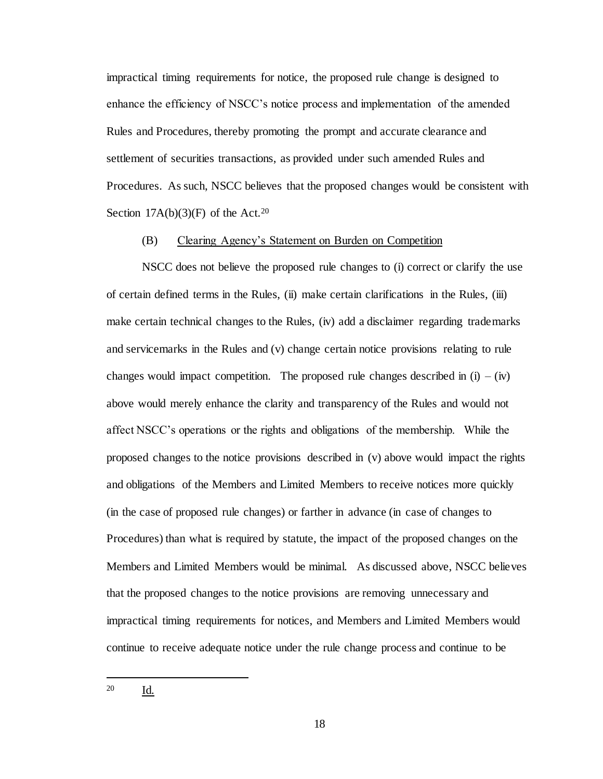impractical timing requirements for notice, the proposed rule change is designed to enhance the efficiency of NSCC's notice process and implementation of the amended Rules and Procedures, thereby promoting the prompt and accurate clearance and settlement of securities transactions, as provided under such amended Rules and Procedures. As such, NSCC believes that the proposed changes would be consistent with Section  $17A(b)(3)(F)$  of the Act.<sup>20</sup>

### (B) Clearing Agency's Statement on Burden on Competition

NSCC does not believe the proposed rule changes to (i) correct or clarify the use of certain defined terms in the Rules, (ii) make certain clarifications in the Rules, (iii) make certain technical changes to the Rules, (iv) add a disclaimer regarding trademarks and servicemarks in the Rules and (v) change certain notice provisions relating to rule changes would impact competition. The proposed rule changes described in  $(i) - (iv)$ above would merely enhance the clarity and transparency of the Rules and would not affect NSCC's operations or the rights and obligations of the membership. While the proposed changes to the notice provisions described in (v) above would impact the rights and obligations of the Members and Limited Members to receive notices more quickly (in the case of proposed rule changes) or farther in advance (in case of changes to Procedures) than what is required by statute, the impact of the proposed changes on the Members and Limited Members would be minimal. As discussed above, NSCC believes that the proposed changes to the notice provisions are removing unnecessary and impractical timing requirements for notices, and Members and Limited Members would continue to receive adequate notice under the rule change process and continue to be

<sup>20</sup> Id.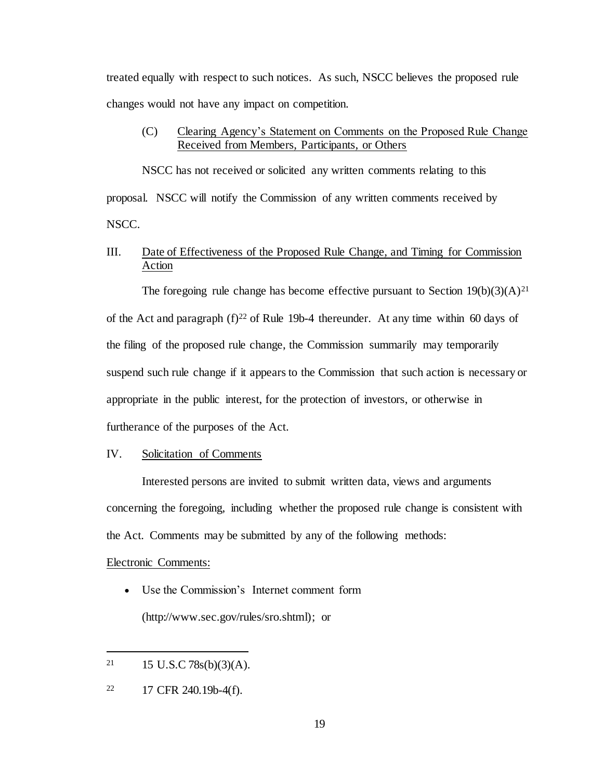treated equally with respect to such notices. As such, NSCC believes the proposed rule changes would not have any impact on competition.

## (C) Clearing Agency's Statement on Comments on the Proposed Rule Change Received from Members, Participants, or Others

NSCC has not received or solicited any written comments relating to this proposal. NSCC will notify the Commission of any written comments received by NSCC.

# III. Date of Effectiveness of the Proposed Rule Change, and Timing for Commission Action

The foregoing rule change has become effective pursuant to Section  $19(b)(3)(A)^{21}$ of the Act and paragraph  $(f)^{22}$  of Rule 19b-4 thereunder. At any time within 60 days of the filing of the proposed rule change, the Commission summarily may temporarily suspend such rule change if it appears to the Commission that such action is necessary or appropriate in the public interest, for the protection of investors, or otherwise in furtherance of the purposes of the Act.

#### IV. Solicitation of Comments

Interested persons are invited to submit written data, views and arguments concerning the foregoing, including whether the proposed rule change is consistent with the Act. Comments may be submitted by any of the following methods:

#### Electronic Comments:

j

 Use the Commission's Internet comment form (http://www.sec.gov/rules/sro.shtml); or

 $21$  15 U.S.C 78s(b)(3)(A).

<sup>22</sup> 17 CFR 240.19b-4(f).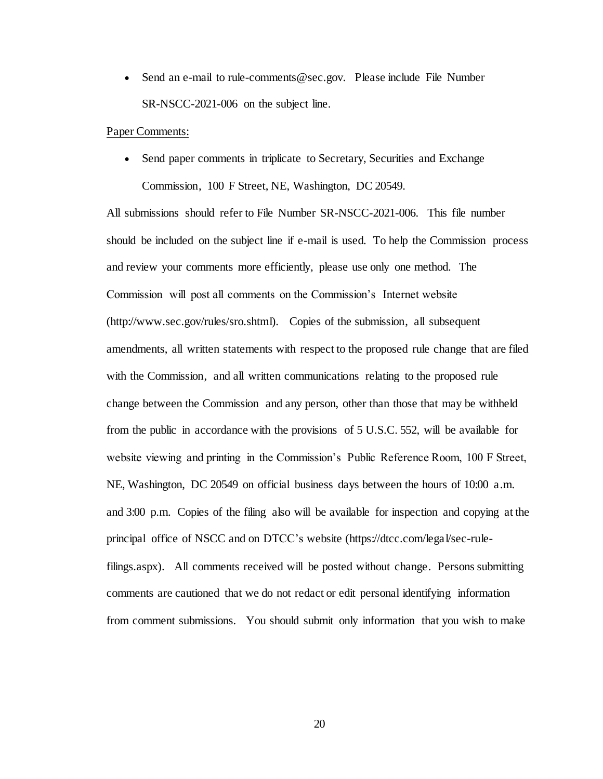• Send an e-mail to rule-comments@sec.gov. Please include File Number SR-NSCC-2021-006 on the subject line.

#### Paper Comments:

• Send paper comments in triplicate to Secretary, Securities and Exchange Commission, 100 F Street, NE, Washington, DC 20549.

All submissions should refer to File Number SR-NSCC-2021-006.This file number should be included on the subject line if e-mail is used. To help the Commission process and review your comments more efficiently, please use only one method. The Commission will post all comments on the Commission's Internet website (http://www.sec.gov/rules/sro.shtml). Copies of the submission, all subsequent amendments, all written statements with respect to the proposed rule change that are filed with the Commission, and all written communications relating to the proposed rule change between the Commission and any person, other than those that may be withheld from the public in accordance with the provisions of 5 U.S.C. 552, will be available for website viewing and printing in the Commission's Public Reference Room, 100 F Street, NE, Washington, DC 20549 on official business days between the hours of 10:00 a.m. and 3:00 p.m. Copies of the filing also will be available for inspection and copying at the principal office of NSCC and on DTCC's website (https://dtcc.com/legal/sec-rulefilings.aspx). All comments received will be posted without change. Persons submitting comments are cautioned that we do not redact or edit personal identifying information from comment submissions. You should submit only information that you wish to make

20